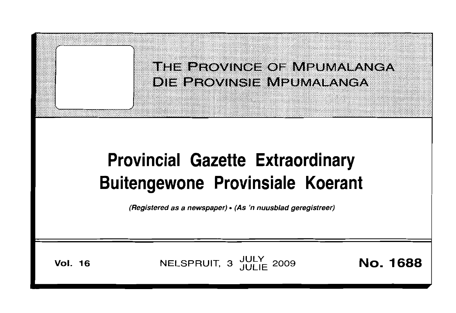THE PROVINCE OF MPUMALANGA **DIE PROVINSIE MPUMALANGA** 

# **Provincial Gazette Extraordinary Buitengewone Provinsiale Koerant**

(Registered as a newspaper) • (As 'n nuusblad geregistreer)

**Vol. 16** 

NELSPRUIT, 3 JULY 2009

**No. 1688**